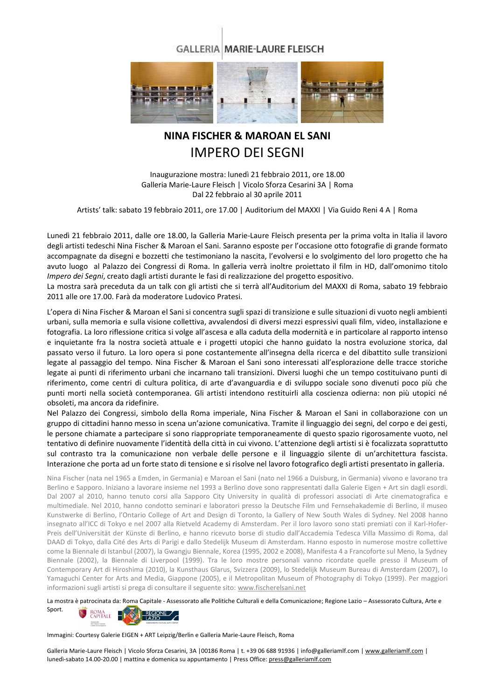## **GALLERIA MARIE-LAURE FLEISCH**



## **NINA FISCHER & MAROAN EL SANI**  IMPERO DEI SEGNI

Inaugurazione mostra: lunedì 21 febbraio 2011, ore 18.00 Galleria Marie-Laure Fleisch | Vicolo Sforza Cesarini 3A | Roma Dal 22 febbraio al 30 aprile 2011

Artists' talk: sabato 19 febbraio 2011, ore 17.00 | Auditorium del MAXXI | Via Guido Reni 4 A | Roma

Lunedì 21 febbraio 2011, dalle ore 18.00, la Galleria Marie-Laure Fleisch presenta per la prima volta in Italia il lavoro degli artisti tedeschi Nina Fischer & Maroan el Sani. Saranno esposte per l'occasione otto fotografie di grande formato accompagnate da disegni e bozzetti che testimoniano la nascita, l'evolversi e lo svolgimento del loro progetto che ha avuto luogo al Palazzo dei Congressi di Roma. In galleria verrà inoltre proiettato il film in HD, dall'omonimo titolo *Impero dei Segni*, creato dagli artisti durante le fasi di realizzazione del progetto espositivo.

La mostra sarà preceduta da un talk con gli artisti che si terrà all'Auditorium del MAXXI di Roma, sabato 19 febbraio 2011 alle ore 17.00. Farà da moderatore Ludovico Pratesi.

L'opera di Nina Fischer & Maroan el Sani si concentra sugli spazi di transizione e sulle situazioni di vuoto negli ambienti urbani, sulla memoria e sulla visione collettiva, avvalendosi di diversi mezzi espressivi quali film, video, installazione e fotografia. La loro riflessione critica si volge all'ascesa e alla caduta della modernità e in particolare al rapporto intenso e inquietante fra la nostra società attuale e i progetti utopici che hanno guidato la nostra evoluzione storica, dal passato verso il futuro. La loro opera si pone costantemente all'insegna della ricerca e del dibattito sulle transizioni legate al passaggio del tempo. Nina Fischer & Maroan el Sani sono interessati all'esplorazione delle tracce storiche legate ai punti di riferimento urbani che incarnano tali transizioni. Diversi luoghi che un tempo costituivano punti di riferimento, come centri di cultura politica, di arte d'avanguardia e di sviluppo sociale sono divenuti poco più che punti morti nella società contemporanea. Gli artisti intendono restituirli alla coscienza odierna: non più utopici né obsoleti, ma ancora da ridefinire.

Nel Palazzo dei Congressi, simbolo della Roma imperiale, Nina Fischer & Maroan el Sani in collaborazione con un gruppo di cittadini hanno messo in scena un'azione comunicativa. Tramite il linguaggio dei segni, del corpo e dei gesti, le persone chiamate a partecipare si sono riappropriate temporaneamente di questo spazio rigorosamente vuoto, nel tentativo di definire nuovamente l'identità della città in cui vivono. L'attenzione degli artisti si è focalizzata soprattutto sul contrasto tra la comunicazione non verbale delle persone e il linguaggio silente di un'architettura fascista. Interazione che porta ad un forte stato di tensione e si risolve nel lavoro fotografico degli artisti presentato in galleria.

Nina Fischer (nata nel 1965 a Emden, in Germania) e Maroan el Sani (nato nel 1966 a Duisburg, in Germania) vivono e lavorano tra Berlino e Sapporo. Iniziano a lavorare insieme nel 1993 a Berlino dove sono rappresentati dalla Galerie Eigen + Art sin dagli esordi. Dal 2007 al 2010, hanno tenuto corsi alla Sapporo City University in qualità di professori associati di Arte cinematografica e multimediale. Nel 2010, hanno condotto seminari e laboratori presso la Deutsche Film und Fernsehakademie di Berlino, il museo Kunstwerke di Berlino, l'Ontario College of Art and Design di Toronto, la Gallery of New South Wales di Sydney. Nel 2008 hanno insegnato all'ICC di Tokyo e nel 2007 alla Rietveld Academy di Amsterdam. Per il loro lavoro sono stati premiati con il Karl-Hofer-Preis dell'Universität der Künste di Berlino, e hanno ricevuto borse di studio dall'Accademia Tedesca Villa Massimo di Roma, dal DAAD di Tokyo, dalla Cité des Arts di Parigi e dallo Stedelijk Museum di Amsterdam. Hanno esposto in numerose mostre collettive come la Biennale di Istanbul (2007), la Gwangju Biennale, Korea (1995, 2002 e 2008), Manifesta 4 a Francoforte sul Meno, la Sydney Biennale (2002), la Biennale di Liverpool (1999). Tra le loro mostre personali vanno ricordate quelle presso il Museum of Contemporary Art di Hiroshima (2010), la Kunsthaus Glarus, Svizzera (2009), lo Stedelijk Museum Bureau di Amsterdam (2007), lo Yamaguchi Center for Arts and Media, Giappone (2005), e il Metropolitan Museum of Photography di Tokyo (1999). Per maggiori informazioni sugli artisti si prega di consultare il seguente sito: [www.fischerelsani.net](http://www.fischerelsani.net/)

La mostra è patrocinata da: Roma Capitale - Assessorato alle Politiche Culturali e della Comunicazione; Regione Lazio – Assessorato Cultura, Arte e



Immagini: Courtesy Galerie EIGEN + ART Leipzig/Berlin e Galleria Marie-Laure Fleisch, Roma

Galleria Marie-Laure Fleisch | Vicolo Sforza Cesarini, 3A | 00186 Roma | t. +39 06 688 91936 | info@galleriamlf.com [| www.galleriamlf.com](http://www.galleriamlf.com/) | lunedì-sabato 14.00-20.00 | mattina e domenica su appuntamento | Press Office[: press@galleriamlf.com](mailto:press@galleriamlf.com)